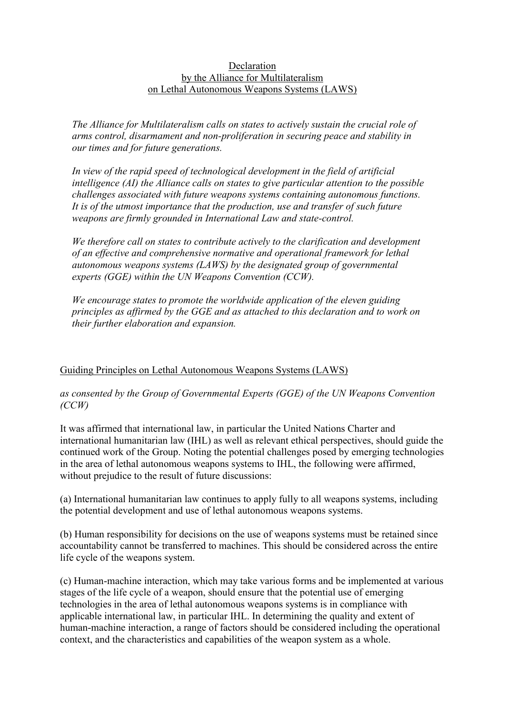## Declaration by the Alliance for Multilateralism on Lethal Autonomous Weapons Systems (LAWS)

*The Alliance for Multilateralism calls on states to actively sustain the crucial role of arms control, disarmament and non-proliferation in securing peace and stability in our times and for future generations.*

*In view of the rapid speed of technological development in the field of artificial intelligence (AI) the Alliance calls on states to give particular attention to the possible challenges associated with future weapons systems containing autonomous functions. It is of the utmost importance that the production, use and transfer of such future weapons are firmly grounded in International Law and state-control.*

*We therefore call on states to contribute actively to the clarification and development of an effective and comprehensive normative and operational framework for lethal autonomous weapons systems (LAWS) by the designated group of governmental experts (GGE) within the UN Weapons Convention (CCW).* 

*We encourage states to promote the worldwide application of the eleven guiding principles as affirmed by the GGE and as attached to this declaration and to work on their further elaboration and expansion.*

## Guiding Principles on Lethal Autonomous Weapons Systems (LAWS)

## *as consented by the Group of Governmental Experts (GGE) of the UN Weapons Convention (CCW)*

It was affirmed that international law, in particular the United Nations Charter and international humanitarian law (IHL) as well as relevant ethical perspectives, should guide the continued work of the Group. Noting the potential challenges posed by emerging technologies in the area of lethal autonomous weapons systems to IHL, the following were affirmed, without prejudice to the result of future discussions:

(a) International humanitarian law continues to apply fully to all weapons systems, including the potential development and use of lethal autonomous weapons systems.

(b) Human responsibility for decisions on the use of weapons systems must be retained since accountability cannot be transferred to machines. This should be considered across the entire life cycle of the weapons system.

(c) Human-machine interaction, which may take various forms and be implemented at various stages of the life cycle of a weapon, should ensure that the potential use of emerging technologies in the area of lethal autonomous weapons systems is in compliance with applicable international law, in particular IHL. In determining the quality and extent of human-machine interaction, a range of factors should be considered including the operational context, and the characteristics and capabilities of the weapon system as a whole.